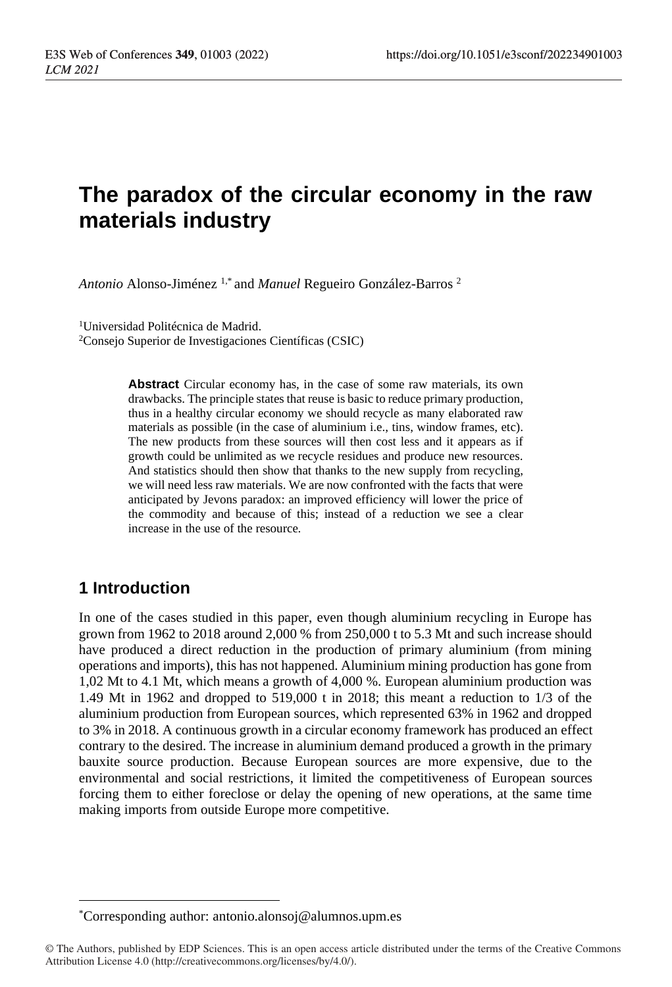# **The paradox of the circular economy in the raw materials industry**

*Antonio* Alonso-Jiménez 1,\* and *Manuel* Regueiro González-Barros <sup>2</sup>

<sup>1</sup>Universidad Politécnica de Madrid. <sup>2</sup>Consejo Superior de Investigaciones Científicas (CSIC)

> **Abstract** Circular economy has, in the case of some raw materials, its own drawbacks. The principle states that reuse is basic to reduce primary production, thus in a healthy circular economy we should recycle as many elaborated raw materials as possible (in the case of aluminium i.e., tins, window frames, etc). The new products from these sources will then cost less and it appears as if growth could be unlimited as we recycle residues and produce new resources. And statistics should then show that thanks to the new supply from recycling, we will need less raw materials. We are now confronted with the facts that were anticipated by Jevons paradox: an improved efficiency will lower the price of the commodity and because of this; instead of a reduction we see a clear increase in the use of the resource.

### **1 Introduction**

In one of the cases studied in this paper, even though aluminium recycling in Europe has grown from 1962 to 2018 around 2,000 % from 250,000 t to 5.3 Mt and such increase should have produced a direct reduction in the production of primary aluminium (from mining operations and imports), this has not happened. Aluminium mining production has gone from 1,02 Mt to 4.1 Mt, which means a growth of 4,000 %. European aluminium production was 1.49 Mt in 1962 and dropped to 519,000 t in 2018; this meant a reduction to 1/3 of the aluminium production from European sources, which represented 63% in 1962 and dropped to 3% in 2018. A continuous growth in a circular economy framework has produced an effect contrary to the desired. The increase in aluminium demand produced a growth in the primary bauxite source production. Because European sources are more expensive, due to the environmental and social restrictions, it limited the competitiveness of European sources forcing them to either foreclose or delay the opening of new operations, at the same time making imports from outside Europe more competitive.

<sup>\*</sup>Corresponding author[: antonio.alonsoj@alumnos.upm.es](mailto:antonio.alonsoj@alumnos.upm.es)

<sup>©</sup> The Authors, published by EDP Sciences. This is an open access article distributed under the terms of the Creative Commons Attribution License 4.0 (http://creativecommons.org/licenses/by/4.0/).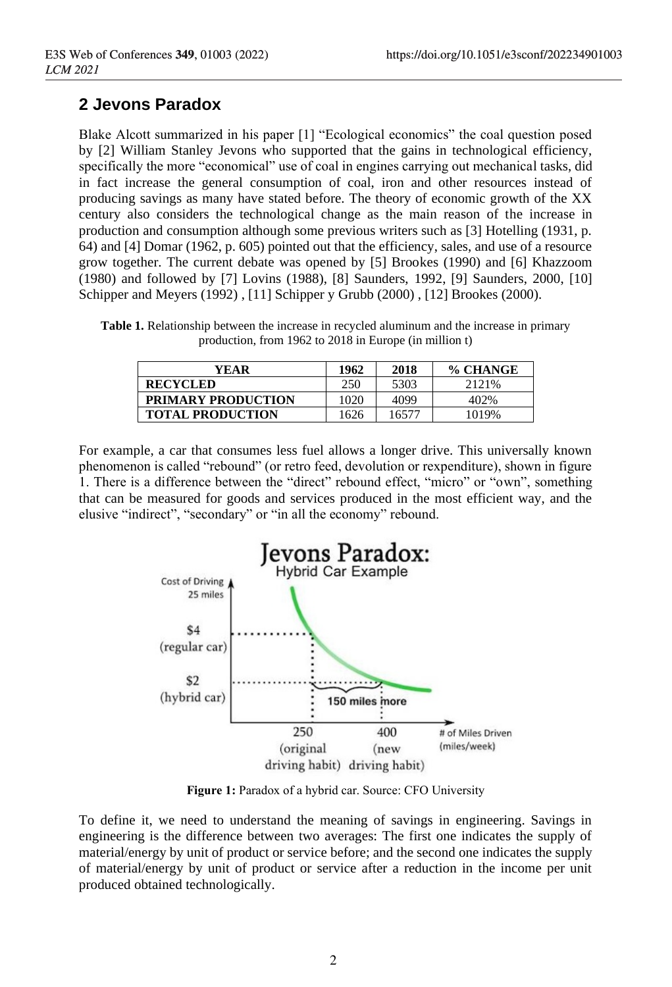# **2 Jevons Paradox**

Blake Alcott summarized in his paper [1] "Ecological economics" the coal question posed by [2] William Stanley Jevons who supported that the gains in technological efficiency, specifically the more "economical" use of coal in engines carrying out mechanical tasks, did in fact increase the general consumption of coal, iron and other resources instead of producing savings as many have stated before. The theory of economic growth of the XX century also considers the technological change as the main reason of the increase in production and consumption although some previous writers such as [3] Hotelling (1931, p. 64) and [4] Domar (1962, p. 605) pointed out that the efficiency, sales, and use of a resource grow together. The current debate was opened by [5] Brookes (1990) and [6] Khazzoom (1980) and followed by [7] Lovins (1988), [8] Saunders, 1992, [9] Saunders, 2000, [10] Schipper and Meyers (1992) , [11] Schipper y Grubb (2000) , [12] Brookes (2000).

**Table 1.** Relationship between the increase in recycled aluminum and the increase in primary production, from 1962 to 2018 in Europe (in million t)

| YEAR                      | 1962 | 2018  | % CHANGE |
|---------------------------|------|-------|----------|
| <b>RECYCLED</b>           | 250  | 5303  | 2121\%   |
| <b>PRIMARY PRODUCTION</b> | 1020 | 4099  | 402%     |
| <b>TOTAL PRODUCTION</b>   | 1626 | 16577 | 1019%    |

For example, a car that consumes less fuel allows a longer drive. This universally known phenomenon is called "rebound" (or retro feed, devolution or rexpenditure), shown in figure 1. There is a difference between the "direct" rebound effect, "micro" or "own", something that can be measured for goods and services produced in the most efficient way, and the elusive "indirect", "secondary" or "in all the economy" rebound.



Figure 1: Paradox of a hybrid car. Source: CFO University

To define it, we need to understand the meaning of savings in engineering. Savings in engineering is the difference between two averages: The first one indicates the supply of material/energy by unit of product or service before; and the second one indicates the supply of material/energy by unit of product or service after a reduction in the income per unit produced obtained technologically.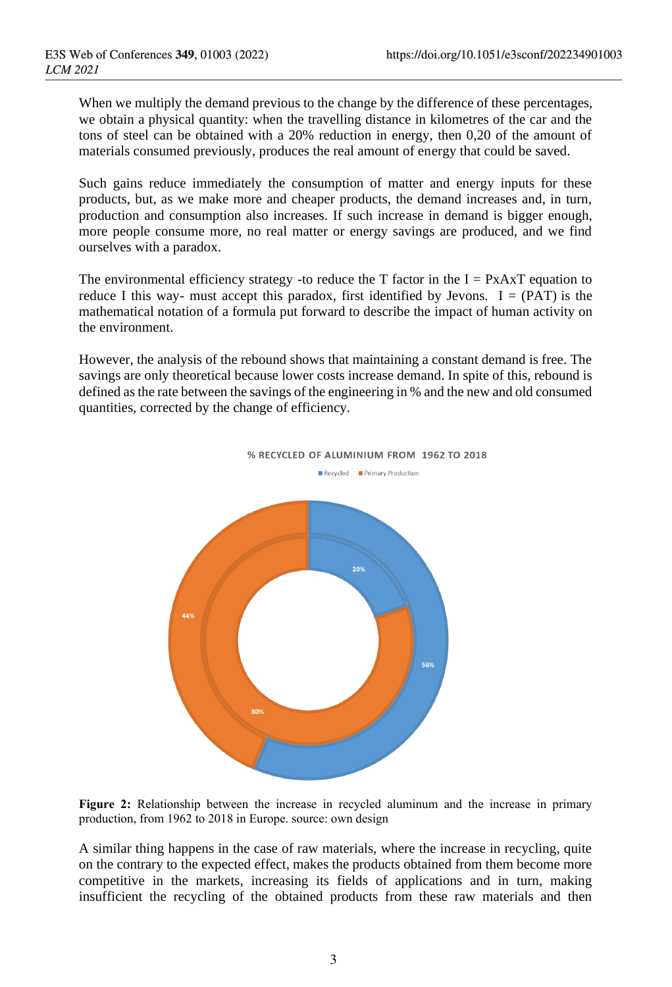When we multiply the demand previous to the change by the difference of these percentages, we obtain a physical quantity: when the travelling distance in kilometres of the car and the tons of steel can be obtained with a 20% reduction in energy, then 0,20 of the amount of materials consumed previously, produces the real amount of energy that could be saved.

Such gains reduce immediately the consumption of matter and energy inputs for these products, but, as we make more and cheaper products, the demand increases and, in turn, production and consumption also increases. If such increase in demand is bigger enough, more people consume more, no real matter or energy savings are produced, and we find ourselves with a paradox.

The environmental efficiency strategy -to reduce the T factor in the  $I = PxAAT$  equation to reduce I this way- must accept this paradox, first identified by Jevons.  $I = (PAT)$  is the mathematical notation of a formula put forward to describe the impact of human activity on the environment.

However, the analysis of the rebound shows that maintaining a constant demand is free. The savings are only theoretical because lower costs increase demand. In spite of this, rebound is defined as the rate between the savings of the engineering in % and the new and old consumed quantities, corrected by the change of efficiency.



**Figure 2:** Relationship between the increase in recycled aluminum and the increase in primary production, from 1962 to 2018 in Europe. source: own design

A similar thing happens in the case of raw materials, where the increase in recycling, quite on the contrary to the expected effect, makes the products obtained from them become more competitive in the markets, increasing its fields of applications and in turn, making insufficient the recycling of the obtained products from these raw materials and then